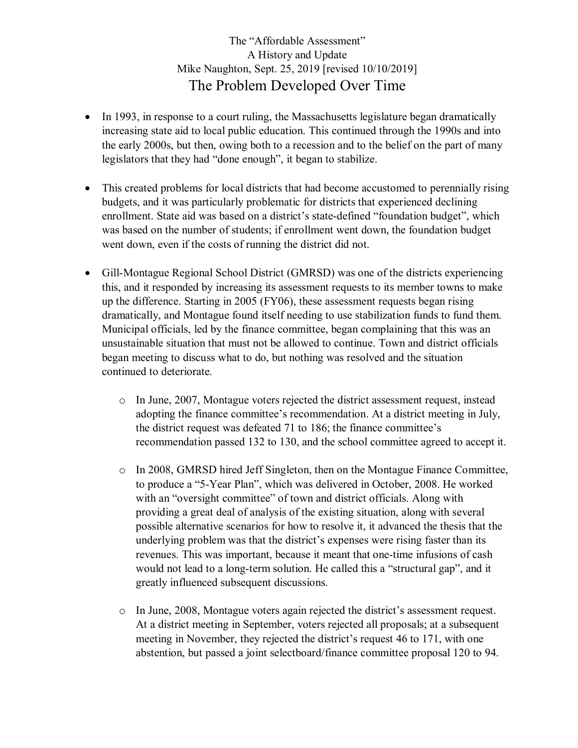## The "Affordable Assessment" A History and Update Mike Naughton, Sept. 25, 2019 [revised 10/10/2019] The Problem Developed Over Time

- In 1993, in response to a court ruling, the Massachusetts legislature began dramatically increasing state aid to local public education. This continued through the 1990s and into the early 2000s, but then, owing both to a recession and to the belief on the part of many legislators that they had "done enough", it began to stabilize.
- This created problems for local districts that had become accustomed to perennially rising budgets, and it was particularly problematic for districts that experienced declining enrollment. State aid was based on a district's state-defined "foundation budget", which was based on the number of students; if enrollment went down, the foundation budget went down, even if the costs of running the district did not.
- Gill-Montague Regional School District (GMRSD) was one of the districts experiencing this, and it responded by increasing its assessment requests to its member towns to make up the difference. Starting in 2005 (FY06), these assessment requests began rising dramatically, and Montague found itself needing to use stabilization funds to fund them. Municipal officials, led by the finance committee, began complaining that this was an unsustainable situation that must not be allowed to continue. Town and district officials began meeting to discuss what to do, but nothing was resolved and the situation continued to deteriorate.
	- o In June, 2007, Montague voters rejected the district assessment request, instead adopting the finance committee's recommendation. At a district meeting in July, the district request was defeated 71 to 186; the finance committee's recommendation passed 132 to 130, and the school committee agreed to accept it.
	- o In 2008, GMRSD hired Jeff Singleton, then on the Montague Finance Committee, to produce a "5-Year Plan", which was delivered in October, 2008. He worked with an "oversight committee" of town and district officials. Along with providing a great deal of analysis of the existing situation, along with several possible alternative scenarios for how to resolve it, it advanced the thesis that the underlying problem was that the district's expenses were rising faster than its revenues. This was important, because it meant that one-time infusions of cash would not lead to a long-term solution. He called this a "structural gap", and it greatly influenced subsequent discussions.
	- o In June, 2008, Montague voters again rejected the district's assessment request. At a district meeting in September, voters rejected all proposals; at a subsequent meeting in November, they rejected the district's request 46 to 171, with one abstention, but passed a joint selectboard/finance committee proposal 120 to 94.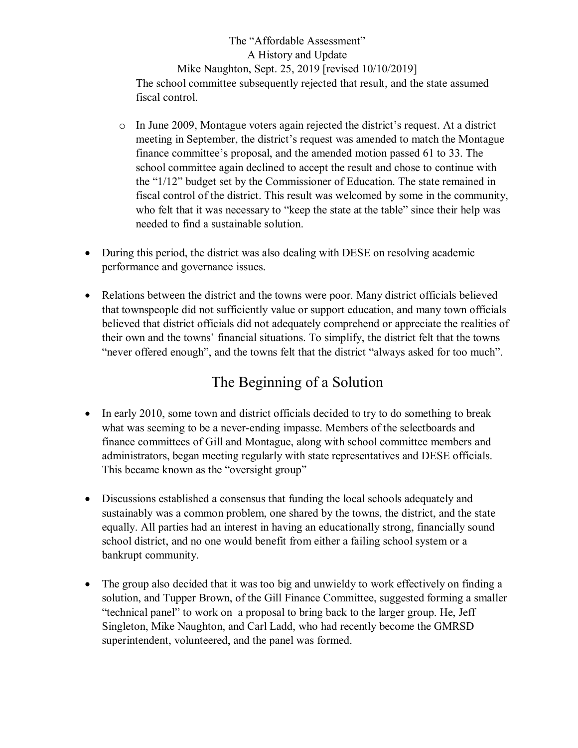The "Affordable Assessment" A History and Update Mike Naughton, Sept. 25, 2019 [revised 10/10/2019] The school committee subsequently rejected that result, and the state assumed fiscal control.

- $\circ$  In June 2009, Montague voters again rejected the district's request. At a district meeting in September, the district's request was amended to match the Montague finance committee's proposal, and the amended motion passed 61 to 33. The school committee again declined to accept the result and chose to continue with the "1/12" budget set by the Commissioner of Education. The state remained in fiscal control of the district. This result was welcomed by some in the community, who felt that it was necessary to "keep the state at the table" since their help was needed to find a sustainable solution.
- During this period, the district was also dealing with DESE on resolving academic performance and governance issues.
- Relations between the district and the towns were poor. Many district officials believed that townspeople did not sufficiently value or support education, and many town officials believed that district officials did not adequately comprehend or appreciate the realities of their own and the towns' financial situations. To simplify, the district felt that the towns "never offered enough", and the towns felt that the district "always asked for too much".

# The Beginning of a Solution

- In early 2010, some town and district officials decided to try to do something to break what was seeming to be a never-ending impasse. Members of the selectboards and finance committees of Gill and Montague, along with school committee members and administrators, began meeting regularly with state representatives and DESE officials. This became known as the "oversight group"
- Discussions established a consensus that funding the local schools adequately and sustainably was a common problem, one shared by the towns, the district, and the state equally. All parties had an interest in having an educationally strong, financially sound school district, and no one would benefit from either a failing school system or a bankrupt community.
- The group also decided that it was too big and unwieldy to work effectively on finding a solution, and Tupper Brown, of the Gill Finance Committee, suggested forming a smaller "technical panel" to work on a proposal to bring back to the larger group. He, Jeff Singleton, Mike Naughton, and Carl Ladd, who had recently become the GMRSD superintendent, volunteered, and the panel was formed.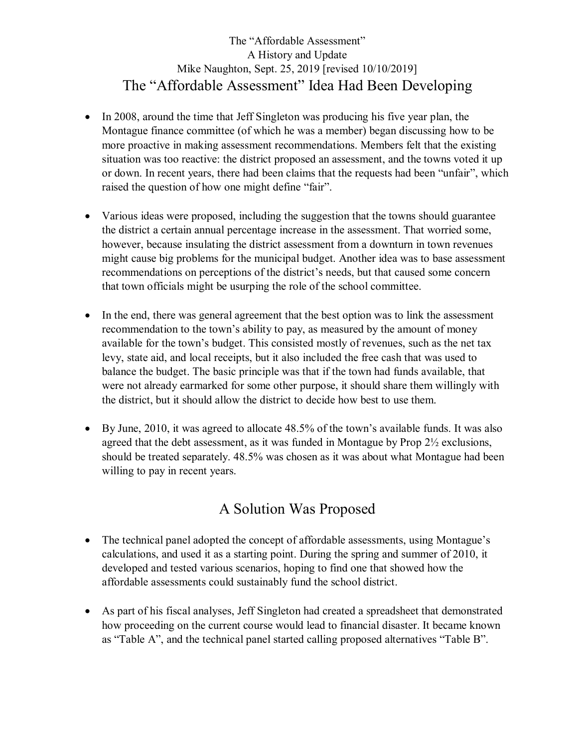## The "Affordable Assessment" A History and Update Mike Naughton, Sept. 25, 2019 [revised 10/10/2019] The "Affordable Assessment" Idea Had Been Developing

- In 2008, around the time that Jeff Singleton was producing his five year plan, the Montague finance committee (of which he was a member) began discussing how to be more proactive in making assessment recommendations. Members felt that the existing situation was too reactive: the district proposed an assessment, and the towns voted it up or down. In recent years, there had been claims that the requests had been "unfair", which raised the question of how one might define "fair".
- Various ideas were proposed, including the suggestion that the towns should guarantee the district a certain annual percentage increase in the assessment. That worried some, however, because insulating the district assessment from a downturn in town revenues might cause big problems for the municipal budget. Another idea was to base assessment recommendations on perceptions of the district's needs, but that caused some concern that town officials might be usurping the role of the school committee.
- In the end, there was general agreement that the best option was to link the assessment recommendation to the town's ability to pay, as measured by the amount of money available for the town's budget. This consisted mostly of revenues, such as the net tax levy, state aid, and local receipts, but it also included the free cash that was used to balance the budget. The basic principle was that if the town had funds available, that were not already earmarked for some other purpose, it should share them willingly with the district, but it should allow the district to decide how best to use them.
- By June, 2010, it was agreed to allocate 48.5% of the town's available funds. It was also agreed that the debt assessment, as it was funded in Montague by Prop 2½ exclusions, should be treated separately. 48.5% was chosen as it was about what Montague had been willing to pay in recent years.

## A Solution Was Proposed

- The technical panel adopted the concept of affordable assessments, using Montague's calculations, and used it as a starting point. During the spring and summer of 2010, it developed and tested various scenarios, hoping to find one that showed how the affordable assessments could sustainably fund the school district.
- As part of his fiscal analyses, Jeff Singleton had created a spreadsheet that demonstrated how proceeding on the current course would lead to financial disaster. It became known as "Table A", and the technical panel started calling proposed alternatives "Table B".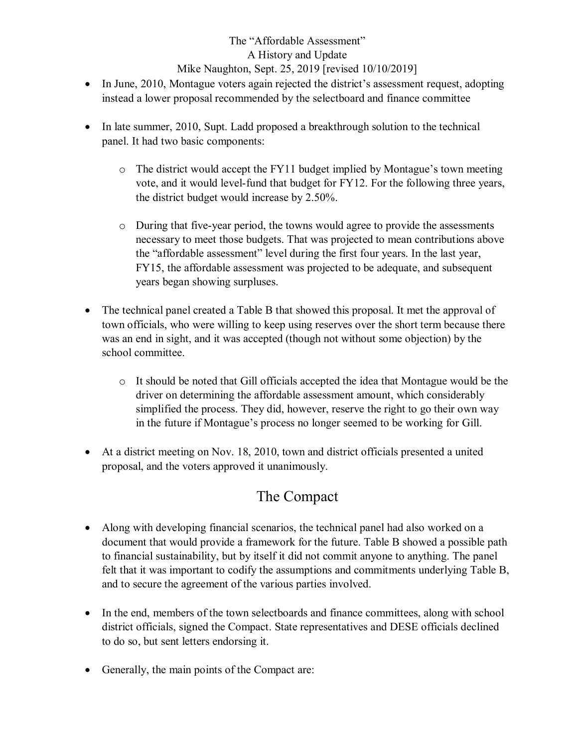## The "Affordable Assessment" A History and Update Mike Naughton, Sept. 25, 2019 [revised 10/10/2019]

- In June, 2010, Montague voters again rejected the district's assessment request, adopting instead a lower proposal recommended by the selectboard and finance committee
- In late summer, 2010, Supt. Ladd proposed a breakthrough solution to the technical panel. It had two basic components:
	- o The district would accept the FY11 budget implied by Montague's town meeting vote, and it would level-fund that budget for FY12. For the following three years, the district budget would increase by 2.50%.
	- o During that five-year period, the towns would agree to provide the assessments necessary to meet those budgets. That was projected to mean contributions above the "affordable assessment" level during the first four years. In the last year, FY15, the affordable assessment was projected to be adequate, and subsequent years began showing surpluses.
- The technical panel created a Table B that showed this proposal. It met the approval of town officials, who were willing to keep using reserves over the short term because there was an end in sight, and it was accepted (though not without some objection) by the school committee.
	- o It should be noted that Gill officials accepted the idea that Montague would be the driver on determining the affordable assessment amount, which considerably simplified the process. They did, however, reserve the right to go their own way in the future if Montague's process no longer seemed to be working for Gill.
- At a district meeting on Nov. 18, 2010, town and district officials presented a united proposal, and the voters approved it unanimously.

## The Compact

- Along with developing financial scenarios, the technical panel had also worked on a document that would provide a framework for the future. Table B showed a possible path to financial sustainability, but by itself it did not commit anyone to anything. The panel felt that it was important to codify the assumptions and commitments underlying Table B, and to secure the agreement of the various parties involved.
- In the end, members of the town selectboards and finance committees, along with school district officials, signed the Compact. State representatives and DESE officials declined to do so, but sent letters endorsing it.
- Generally, the main points of the Compact are: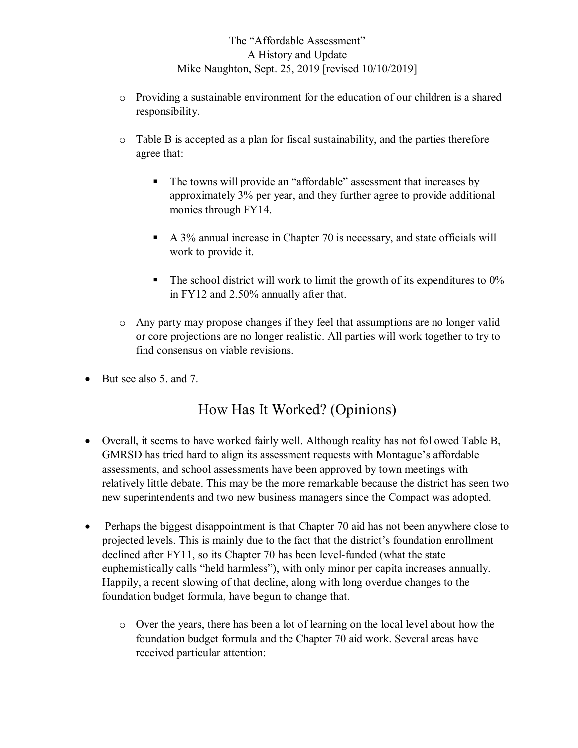### The "Affordable Assessment" A History and Update Mike Naughton, Sept. 25, 2019 [revised 10/10/2019]

- $\circ$  Providing a sustainable environment for the education of our children is a shared responsibility.
- o Table B is accepted as a plan for fiscal sustainability, and the parties therefore agree that:
	- The towns will provide an "affordable" assessment that increases by approximately 3% per year, and they further agree to provide additional monies through FY14.
	- A 3% annual increase in Chapter 70 is necessary, and state officials will work to provide it.
	- $\blacksquare$  The school district will work to limit the growth of its expenditures to 0% in FY12 and 2.50% annually after that.
- o Any party may propose changes if they feel that assumptions are no longer valid or core projections are no longer realistic. All parties will work together to try to find consensus on viable revisions.
- $\bullet$  But see also 5, and 7.

# How Has It Worked? (Opinions)

- Overall, it seems to have worked fairly well. Although reality has not followed Table B, GMRSD has tried hard to align its assessment requests with Montague's affordable assessments, and school assessments have been approved by town meetings with relatively little debate. This may be the more remarkable because the district has seen two new superintendents and two new business managers since the Compact was adopted.
- Perhaps the biggest disappointment is that Chapter 70 aid has not been anywhere close to projected levels. This is mainly due to the fact that the district's foundation enrollment declined after FY11, so its Chapter 70 has been level-funded (what the state euphemistically calls "held harmless"), with only minor per capita increases annually. Happily, a recent slowing of that decline, along with long overdue changes to the foundation budget formula, have begun to change that.
	- o Over the years, there has been a lot of learning on the local level about how the foundation budget formula and the Chapter 70 aid work. Several areas have received particular attention: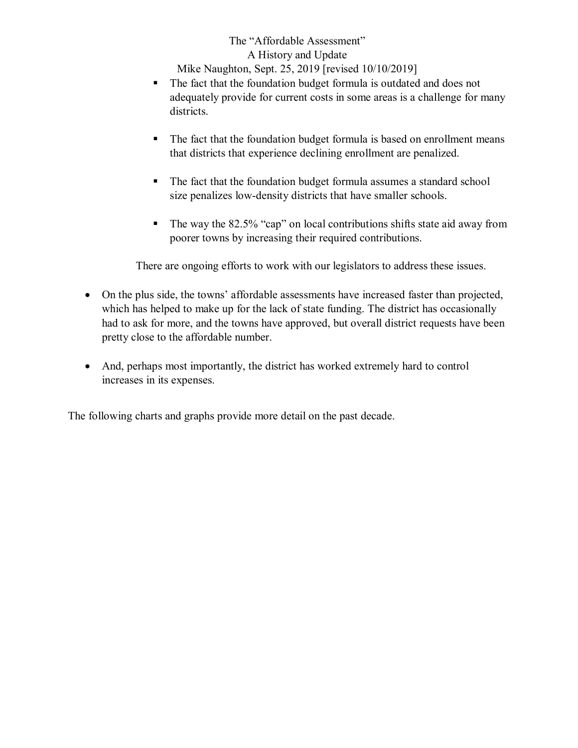The "Affordable Assessment" A History and Update Mike Naughton, Sept. 25, 2019 [revised 10/10/2019]

- The fact that the foundation budget formula is outdated and does not adequately provide for current costs in some areas is a challenge for many districts.
- The fact that the foundation budget formula is based on enrollment means that districts that experience declining enrollment are penalized.
- The fact that the foundation budget formula assumes a standard school size penalizes low-density districts that have smaller schools.
- The way the 82.5% "cap" on local contributions shifts state aid away from poorer towns by increasing their required contributions.

There are ongoing efforts to work with our legislators to address these issues.

- On the plus side, the towns' affordable assessments have increased faster than projected, which has helped to make up for the lack of state funding. The district has occasionally had to ask for more, and the towns have approved, but overall district requests have been pretty close to the affordable number.
- And, perhaps most importantly, the district has worked extremely hard to control increases in its expenses.

The following charts and graphs provide more detail on the past decade.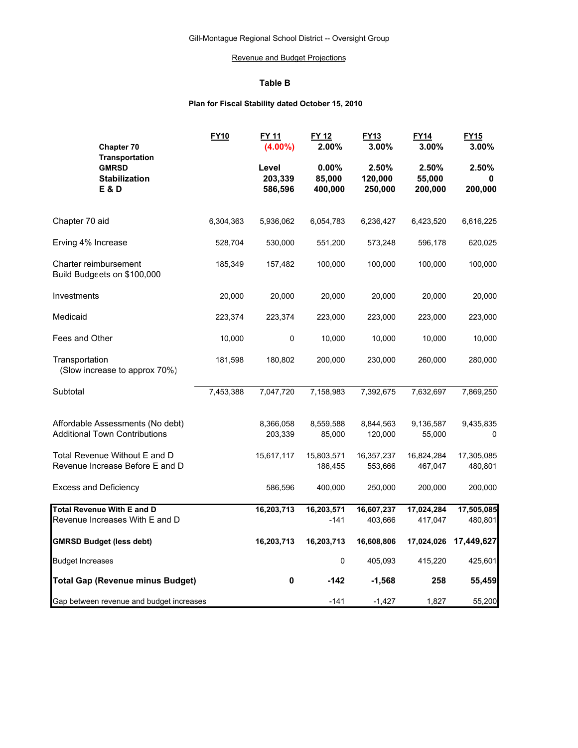#### Revenue and Budget Projections

#### **Table B**

#### **Plan for Fiscal Stability dated October 15, 2010**

| Chapter 70<br><b>Transportation</b>                                      | <b>FY10</b> | <b>FY 11</b><br>$(4.00\%)$  | FY 12<br>2.00%             | FY13<br>3.00%               | <b>FY14</b><br>3.00%       | <b>FY15</b><br>3.00%  |  |
|--------------------------------------------------------------------------|-------------|-----------------------------|----------------------------|-----------------------------|----------------------------|-----------------------|--|
| <b>GMRSD</b><br><b>Stabilization</b><br>E & D                            |             | Level<br>203,339<br>586,596 | 0.00%<br>85,000<br>400,000 | 2.50%<br>120,000<br>250,000 | 2.50%<br>55,000<br>200,000 | 2.50%<br>200,000      |  |
| Chapter 70 aid                                                           | 6,304,363   | 5,936,062                   | 6,054,783                  | 6,236,427                   | 6,423,520                  | 6,616,225             |  |
| Erving 4% Increase                                                       | 528,704     | 530,000                     | 551,200                    | 573,248                     | 596,178                    | 620,025               |  |
| Charter reimbursement<br>Build Budgeets on \$100,000                     | 185,349     | 157,482                     | 100,000                    | 100,000                     | 100,000                    | 100,000               |  |
| Investments                                                              | 20,000      | 20,000                      | 20,000                     | 20,000                      | 20,000                     | 20,000                |  |
| Medicaid                                                                 | 223,374     | 223,374                     | 223,000                    | 223,000                     | 223,000                    | 223,000               |  |
| Fees and Other                                                           | 10,000      | 0                           | 10,000                     | 10,000                      | 10,000                     | 10,000                |  |
| Transportation<br>(Slow increase to approx 70%)                          | 181,598     | 180,802                     | 200,000                    | 230,000                     | 260,000                    | 280,000               |  |
| Subtotal                                                                 | 7,453,388   | 7,047,720                   | 7,158,983                  | 7,392,675                   | 7,632,697                  | 7,869,250             |  |
| Affordable Assessments (No debt)<br><b>Additional Town Contributions</b> |             | 8,366,058<br>203,339        | 8,559,588<br>85,000        | 8,844,563<br>120,000        | 9,136,587<br>55,000        | 9,435,835<br>0        |  |
| Total Revenue Without E and D<br>Revenue Increase Before E and D         |             | 15,617,117                  | 15,803,571<br>186,455      | 16,357,237<br>553,666       | 16,824,284<br>467,047      | 17,305,085<br>480,801 |  |
| <b>Excess and Deficiency</b>                                             |             | 586,596                     | 400,000                    | 250,000                     | 200,000                    | 200,000               |  |
| <b>Total Revenue With E and D</b><br>Revenue Increases With E and D      |             | 16,203,713                  | 16,203,571<br>$-141$       | 16,607,237<br>403,666       | 17,024,284<br>417,047      | 17,505,085<br>480,801 |  |
| <b>GMRSD Budget (less debt)</b>                                          |             | 16,203,713                  | 16,203,713                 | 16,608,806                  | 17,024,026                 | 17,449,627            |  |
| <b>Budget Increases</b>                                                  |             |                             | 0                          | 405,093                     | 415,220                    | 425,601               |  |
| <b>Total Gap (Revenue minus Budget)</b>                                  |             | $\pmb{0}$                   | $-142$                     | $-1,568$                    | 258                        | 55,459                |  |
| Gap between revenue and budget increases                                 |             |                             | $-141$                     | $-1,427$                    | 1,827                      | 55,200                |  |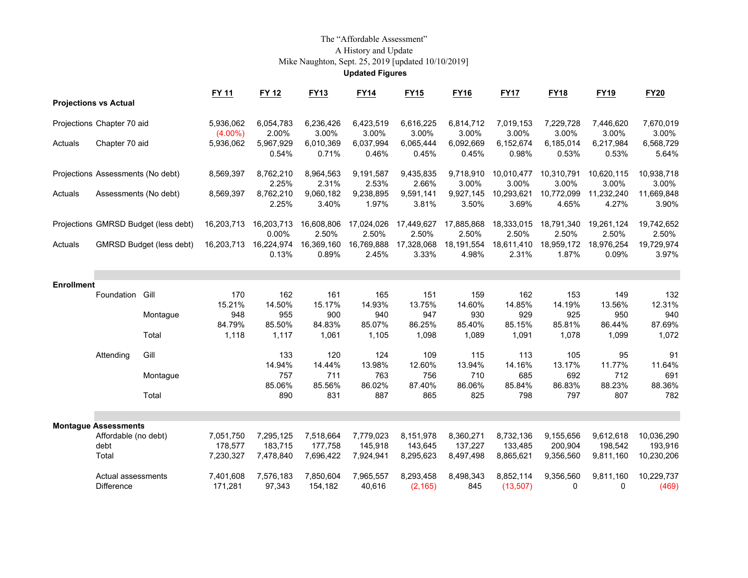# The "Affordable Assessment"A History and Update Mike Naughton, Sept. 25, 2019 [updated 10/10/2019] **Updated Figures**

|                                   |                              |                                      | <b>FY 11</b>            | <b>FY 12</b>         | <b>FY13</b>          | <b>FY14</b>          | <b>FY15</b>          | <b>FY16</b>          | <b>FY17</b>          | <b>FY18</b>          | <b>FY19</b>          | <b>FY20</b>           |
|-----------------------------------|------------------------------|--------------------------------------|-------------------------|----------------------|----------------------|----------------------|----------------------|----------------------|----------------------|----------------------|----------------------|-----------------------|
|                                   | <b>Projections vs Actual</b> |                                      |                         |                      |                      |                      |                      |                      |                      |                      |                      |                       |
|                                   | Projections Chapter 70 aid   |                                      | 5,936,062               | 6,054,783            | 6,236,426            | 6,423,519            | 6,616,225            | 6,814,712            | 7,019,153            | 7,229,728            | 7,446,620            | 7,670,019             |
| Actuals                           | Chapter 70 aid               |                                      | $(4.00\%)$<br>5,936,062 | 2.00%<br>5,967,929   | 3.00%<br>6,010,369   | 3.00%<br>6,037,994   | 3.00%<br>6,065,444   | 3.00%<br>6,092,669   | 3.00%<br>6,152,674   | 3.00%<br>6,185,014   | 3.00%<br>6,217,984   | 3.00%<br>6,568,729    |
|                                   |                              |                                      |                         | 0.54%                | 0.71%                | 0.46%                | 0.45%                | 0.45%                | 0.98%                | 0.53%                | 0.53%                | 5.64%                 |
| Projections Assessments (No debt) |                              | 8,569,397                            | 8,762,210<br>2.25%      | 8,964,563<br>2.31%   | 9,191,587<br>2.53%   | 9,435,835<br>2.66%   | 9,718,910<br>3.00%   | 10,010,477<br>3.00%  | 10,310,791<br>3.00%  | 10,620,115<br>3.00%  | 10,938,718<br>3.00%  |                       |
| Actuals                           | Assessments (No debt)        |                                      | 8,569,397               | 8,762,210            | 9,060,182            | 9,238,895            | 9,591,141            | 9,927,145            | 10,293,621           | 10,772,099           | 11,232,240           | 11,669,848            |
|                                   |                              |                                      |                         | 2.25%                | 3.40%                | 1.97%                | 3.81%                | 3.50%                | 3.69%                | 4.65%                | 4.27%                | 3.90%                 |
|                                   |                              | Projections GMRSD Budget (less debt) | 16,203,713              | 16,203,713<br>0.00%  | 16,608,806<br>2.50%  | 17,024,026<br>2.50%  | 17,449,627<br>2.50%  | 17,885,868<br>2.50%  | 18,333,015<br>2.50%  | 18,791,340<br>2.50%  | 19,261,124<br>2.50%  | 19,742,652<br>2.50%   |
| Actuals                           |                              | <b>GMRSD Budget (less debt)</b>      | 16,203,713              | 16,224,974           | 16,369,160           | 16,769,888           | 17,328,068           | 18.191,554           | 18,611,410           | 18,959,172           | 18,976,254           | 19,729,974            |
|                                   |                              |                                      |                         | 0.13%                | 0.89%                | 2.45%                | 3.33%                | 4.98%                | 2.31%                | 1.87%                | 0.09%                | 3.97%                 |
|                                   |                              |                                      |                         |                      |                      |                      |                      |                      |                      |                      |                      |                       |
| <b>Enrollment</b>                 |                              |                                      |                         |                      |                      |                      |                      |                      |                      |                      |                      |                       |
|                                   | Foundation                   | Gill                                 | 170                     | 162                  | 161                  | 165                  | 151                  | 159                  | 162                  | 153                  | 149                  | 132                   |
|                                   |                              |                                      | 15.21%<br>948           | 14.50%<br>955        | 15.17%<br>900        | 14.93%<br>940        | 13.75%<br>947        | 14.60%<br>930        | 14.85%<br>929        | 14.19%<br>925        | 13.56%<br>950        | 12.31%<br>940         |
|                                   |                              | Montague                             | 84.79%                  | 85.50%               | 84.83%               | 85.07%               | 86.25%               | 85.40%               | 85.15%               | 85.81%               | 86.44%               | 87.69%                |
|                                   |                              | Total                                | 1,118                   | 1,117                | 1,061                | 1,105                | 1,098                | 1,089                | 1,091                | 1,078                | 1,099                | 1,072                 |
|                                   | Attending                    | Gill                                 |                         | 133                  | 120                  | 124                  | 109                  | 115                  | 113                  | 105                  | 95                   | 91                    |
|                                   |                              |                                      |                         | 14.94%               | 14.44%               | 13.98%               | 12.60%               | 13.94%               | 14.16%               | 13.17%               | 11.77%               | 11.64%                |
|                                   |                              | Montague                             |                         | 757<br>85.06%        | 711<br>85.56%        | 763<br>86.02%        | 756<br>87.40%        | 710<br>86.06%        | 685<br>85.84%        | 692<br>86.83%        | 712<br>88.23%        | 691<br>88.36%         |
|                                   |                              | Total                                |                         | 890                  | 831                  | 887                  | 865                  | 825                  | 798                  | 797                  | 807                  | 782                   |
|                                   |                              |                                      |                         |                      |                      |                      |                      |                      |                      |                      |                      |                       |
|                                   | <b>Montague Assessments</b>  |                                      |                         |                      |                      |                      |                      |                      |                      |                      |                      |                       |
|                                   | Affordable (no debt)<br>debt |                                      | 7,051,750<br>178,577    | 7,295,125<br>183,715 | 7,518,664<br>177,758 | 7,779,023<br>145,918 | 8,151,978<br>143,645 | 8,360,271<br>137,227 | 8,732,136<br>133,485 | 9,155,656<br>200,904 | 9,612,618<br>198,542 | 10,036,290<br>193,916 |
|                                   | Total                        |                                      | 7,230,327               | 7,478,840            | 7,696,422            | 7,924,941            | 8,295,623            | 8,497,498            | 8,865,621            | 9,356,560            | 9,811,160            | 10,230,206            |
|                                   | Actual assessments           |                                      | 7,401,608               | 7,576,183            | 7,850,604            | 7,965,557            | 8,293,458            | 8,498,343            | 8,852,114            | 9,356,560            | 9,811,160            | 10,229,737            |
| <b>Difference</b>                 |                              | 171,281                              | 97,343                  | 154,182              | 40,616               | (2, 165)             | 845                  | (13,507)             | 0                    | $\Omega$             | (469)                |                       |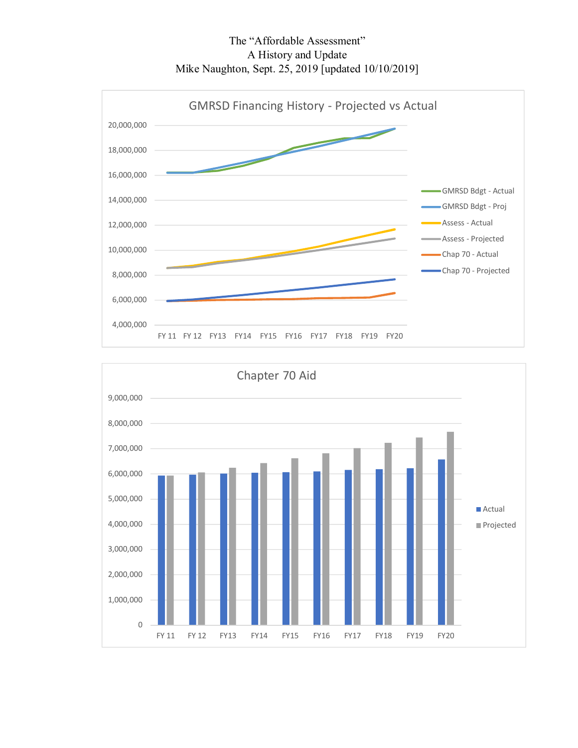The "Affordable Assessment" A History and Update Mike Naughton, Sept. 25, 2019 [updated 10/10/2019]



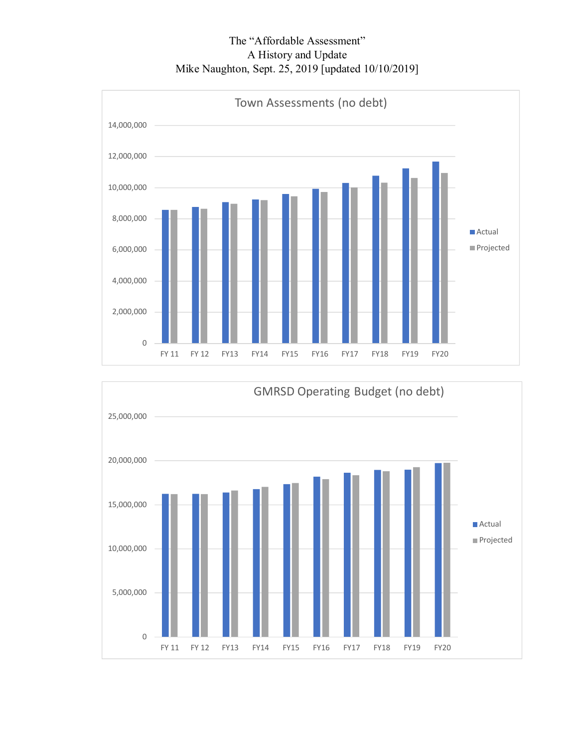The "Affordable Assessment" A History and Update Mike Naughton, Sept. 25, 2019 [updated 10/10/2019]